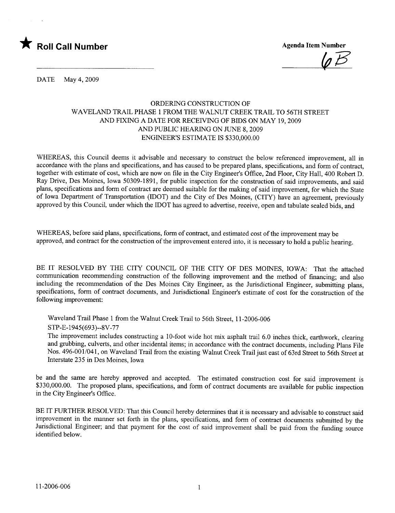

 $\psi \mapsto$ 

DATE May 4, 2009

# ORDERING CONSTRUCTION OF WAVELAND TRAIL PHASE 1 FROM THE WALNUT CREEK TRAIL TO 56TH STREET AND FIXING A DATE FOR RECEIVING OF BIDS ON MAY 19,2009 AND PUBLIC HEARING ON JUNE 8, 2009 ENGINEER'S ESTIMATE IS \$330,000.00

WHEREAS, this Council deems it advisable and necessary to construct the below referenced improvement, all in accordance with the plans and specifications, and has caused to be prepared plans, specifications, and form of contract, together with estimate of cost, which are now on file in the City Engineer's Office, 2nd Floor, City Hall, 400 Robert D. Ray Drive, Des Moines, Iowa 50309-1891, for public inspection for the construction of said improvements, and said plans, specifications and form of contract are deemed suitable for the making of said improvement, for which the State of Iowa Department of Transportation (IDOT) and the City of Des Moines, (CITY) have an agreement, previously approved by this Council, under which the IDOT has agreed to advertise, receive, open and tabulate sealed bids, and

WHEREAS, before said plans, specifications, form of contract, and estimated cost of the improvement may be approved, and contract for the construction of the improvement entered into, it is necessary to hold a public hearing.

BE IT RESOLVED BY THE CITY COUNCIL OF THE CITY OF DES MOINES, IOWA: That the attached communication recommending construction of the following improvement and the method of financing; and also including the recommendation of the Des Moines City Engineer, as the Jurisdictional Engineer, submitting plans, specifications, form of contract documents, and Jurisdictional Engineer's estimate of cost for the construction of the following improvement:

Waveland Trail Phase 1 from the Walnut Creek Trail to 56th Street, 11-2006-006 STP-E-1945(693)--8V -77

The improvement includes constructing a lO-foot wide hot mix asphalt trail 6.0 inches thick, earthwork, clearing and grubbing, culverts, and other incidental items; in accordance with the contract documents, including Plans File Nos. 496-001/041, on Waveland Trail from the existing Walnut Creek Trail just east of 63rd Street to 56th Street at Interstate 235 in Des Moines, Iowa

be and the same are hereby approved and accepted. The estimated construction cost for said improvement is \$330,000.00. The proposed plans, specifications, and form of contract documents are available for public inspection in the City Engineer's Office.

BE IT FURTHER RESOLVED: That this Council hereby determines that it is necessary and advisable to construct said improvement in the maner set forth in the plans, specifications, and form of contract documents submitted by the Jurisdictional Engineer; and that payment for the cost of said improvement shall be paid from the funding source identified below.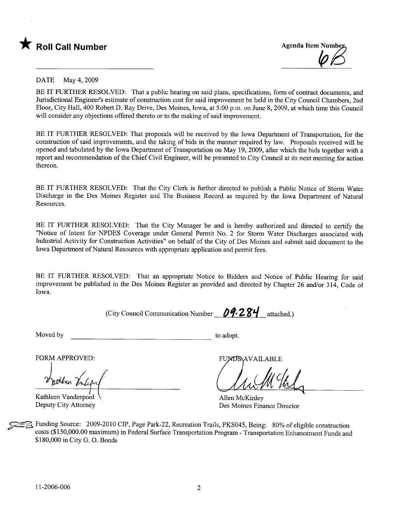



### DATE May 4, 2009

BE IT FURTHER RESOLVED: That a public hearing on said plans, specifications, form of contract documents, and Jurisdictional Engineer's estimate of construction cost for said improvement be held in the City Council Chambers, 2nd Floor, City Hall, 400 Robert D. Ray Drive, Des Moines, Iowa, at 5:00 p.m. on June 8, 2009, at which time this Council will consider any objections offered thereto or to the making of said improvement.

BE IT FURTHER RESOLVED: That proposals will be received by the Iowa Department of Transportation, for the construction of said improvements, and the taking of bids in the manner required by law. Proposals received wil be opened and tabulated by the Iowa Department of Transportation on May 19, 2009, after which the bids together with a report and recommendation of the Chief Civil Engineer, wil be presented to City Council at its next meeting for action thereon.

BE IT FURTHER RESOLVED: That the City Clerk is further directed to publish a Public Notice of Storm Water Discharge in the Des Moines Register and The Business Record as required by the Iowa Department of Natural Resources.

BE IT FURTHER RESOLVED: That the City Manager be and is hereby authorized and directed to certify the "Notice of Intent for NPDES Coverage under General Permit No.2 for Storm Water Discharges associated with Industrial Activity for Construction Activities" on behalf of the City of Des Moines and submit said document to the Iowa Department of Natural Resources with appropriate application and permit fees.

BE IT FURTHER RESOLVED: That an appropriate Notice to Bidders and Notice of Public Hearing for said improvement be published in the Des Moines Register as provided and directed by Chapter 26 and/or 314, Code of Iowa.

(City Council Communication Number  $09.284$  attached.)

Moved by to adopt.

FORM APPROVED:

Kathleen Vanderpool Deputy City Attorney

FUNDS AVAILABLE

Allen McKinley Des Moines Finance Director

Funding Source: 2009-2010 CIP, Page Park-22, Recreation Trails, PKS045, Being: 80% of eligible construction costs (\$150,000.00 maximum) in Federal Surface Transportation Program - Transportation Enhancement Funds and \$180,000 in City G. O. Bonds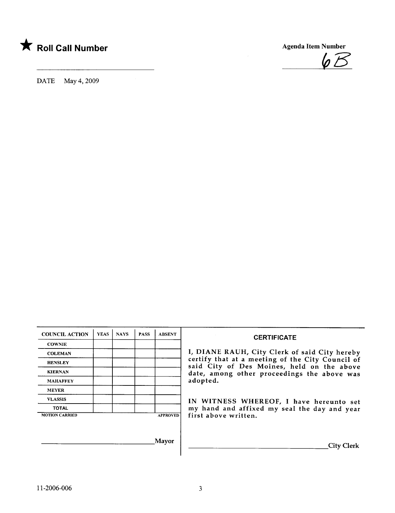

DATE May 4, 2009



| <b>COUNCIL ACTION</b> | <b>YEAS</b> | <b>NAYS</b> | <b>PASS</b> | <b>ABSENT</b>   |
|-----------------------|-------------|-------------|-------------|-----------------|
| <b>COWNIE</b>         |             |             |             |                 |
| <b>COLEMAN</b>        |             |             |             |                 |
| <b>HENSLEY</b>        |             |             |             |                 |
| <b>KIERNAN</b>        |             |             |             |                 |
| <b>MAHAFFEY</b>       |             |             |             |                 |
| <b>MEYER</b>          |             |             |             |                 |
| <b>VLASSIS</b>        |             |             |             |                 |
| <b>TOTAL</b>          |             |             |             |                 |
| <b>MOTION CARRIED</b> |             |             |             | <b>APPROVED</b> |

### **CERTIFICATE**

I, DIANE RAUH, City Clerk of said City hereby HENSLEY **certify that at a meeting of the City Council of**  $\overline{C}$ said City of Des Moines, held on the above date, among other proceedings the above was adopted.

> IN WITNESS WHEREOF, I have hereunto set my hand and affixed my seal the day and year first above written.

Mayor Gity Clerk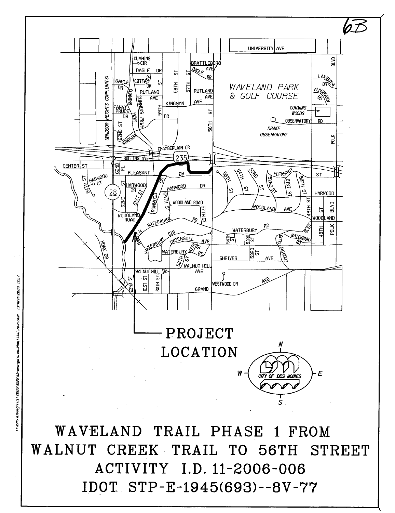

IDOT STP-E-1945(693)--8V-77